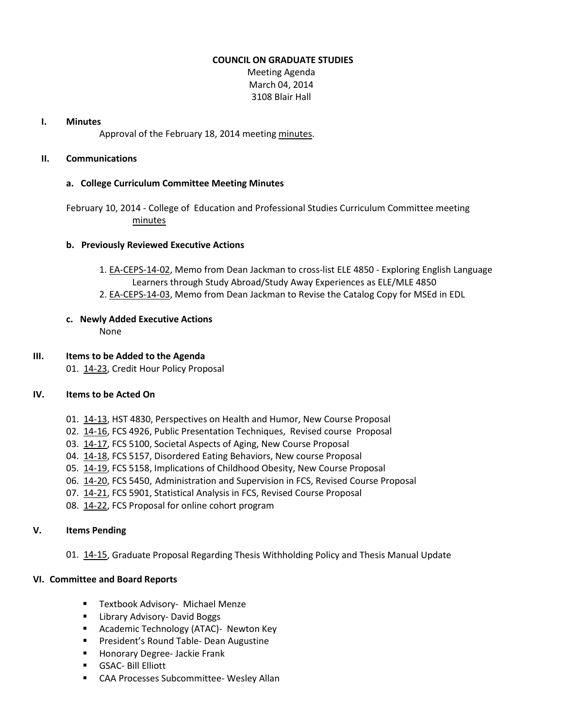### **COUNCIL ON GRADUATE STUDIES**

Meeting Agenda March 04, 2014 3108 Blair Hall

#### **I. Minutes**

Approval of the February 18, 2014 meeting [minutes.](http://castle.eiu.edu/eiucgs/currentminutes/Minutes02-18-14.pdf)

# **II. Communications**

# **a. College Curriculum Committee Meeting Minutes**

February 10, 2014 - College of Education and Professional Studies Curriculum Committee meeting [minutes](http://castle.eiu.edu/~eiucgs/currentagendaitems/CEPSMin02-10-14.pdf)

#### **b. Previously Reviewed Executive Actions**

- 1. [EA-CEPS-14-02,](http://castle.eiu.edu/~eiucgs/exec-actions/EA-CEPS-14-02.pdf) Memo from Dean Jackman to cross-list ELE 4850 Exploring English Language Learners through Study Abroad/Study Away Experiences as ELE/MLE 4850
- 2. [EA-CEPS-14-03,](http://castle.eiu.edu/~eiucgs/exec-actions/EA-CEPS-14-03.pdf) Memo from Dean Jackman to Revise the Catalog Copy for MSEd in EDL

# **c. Newly Added Executive Actions**

None

#### **III. Items to be Added to the Agenda**

01. [14-23,](http://castle.eiu.edu/~eiucgs/currentagendaitems/agenda14-23.pdf) Credit Hour Policy Proposal

# **IV. Items to be Acted On**

- 01. [14-13,](http://castle.eiu.edu/~eiucgs/currentagendaitems/agenda14-13.pdf) HST 4830, Perspectives on Health and Humor, New Course Proposal
- 02. [14-16,](http://castle.eiu.edu/~eiucgs/currentagendaitems/agenda14-16.pdf) FCS 4926, Public Presentation Techniques, Revised course Proposal
- 03. [14-17,](http://castle.eiu.edu/~eiucgs/currentagendaitems/agenda14-17.pdf) FCS 5100, Societal Aspects of Aging, New Course Proposal
- 04. [14-18,](http://castle.eiu.edu/~eiucgs/currentagendaitems/agenda14-18.pdf) FCS 5157, Disordered Eating Behaviors, New course Proposal
- 05. [14-19,](http://castle.eiu.edu/~eiucgs/currentagendaitems/agenda14-19.pdf) FCS 5158, Implications of Childhood Obesity, New Course Proposal
- 06. [14-20,](http://castle.eiu.edu/~eiucgs/currentagendaitems/agenda14-20.pdf) FCS 5450, Administration and Supervision in FCS, Revised Course Proposal
- 07. [14-21,](http://castle.eiu.edu/~eiucgs/currentagendaitems/agenda14-21.pdf) FCS 5901, Statistical Analysis in FCS, Revised Course Proposal
- 08. [14-22,](http://castle.eiu.edu/~eiucgs/currentagendaitems/agenda14-22.pdf) FCS Proposal for online cohort program

# **V. Items Pending**

01. [14-15,](http://castle.eiu.edu/~eiucgs/currentagendaitems/agenda14-15.pdf) Graduate Proposal Regarding Thesis Withholding Policy and Thesis Manual Update

# **VI. Committee and Board Reports**

- **Textbook Advisory- Michael Menze**
- **E** Library Advisory- David Boggs
- **Academic Technology (ATAC)- Newton Key**
- **President's Round Table- Dean Augustine**
- **Honorary Degree- Jackie Frank**
- GSAC- Bill Elliott
- CAA Processes Subcommittee- Wesley Allan